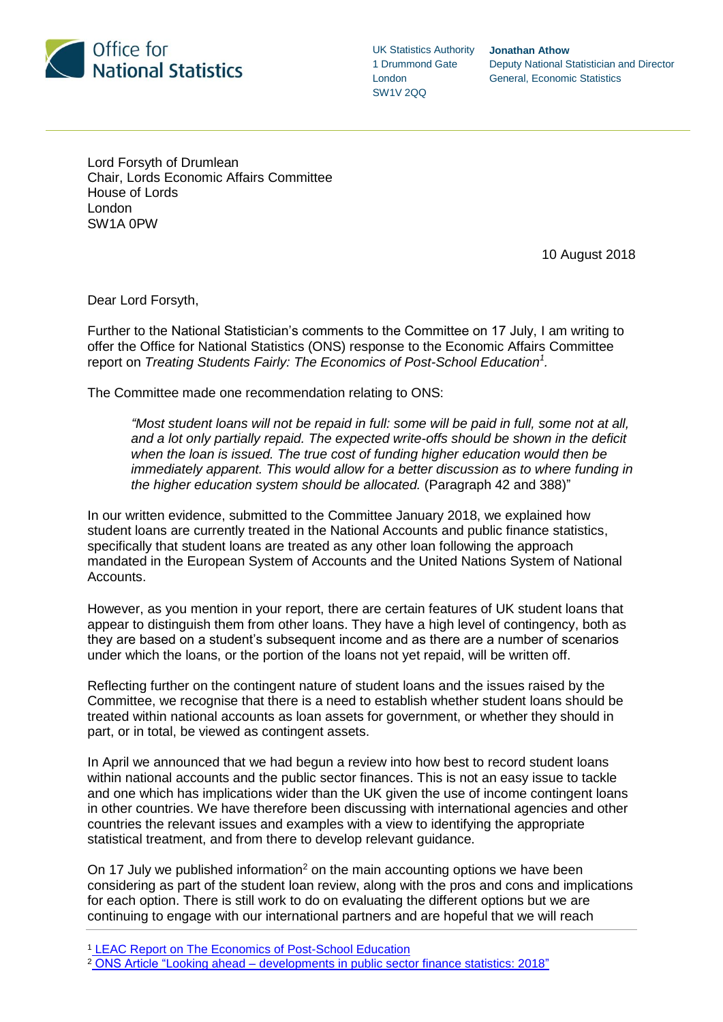

UK Statistics Authority 1 Drummond Gate London SW1V 2QQ

**Jonathan Athow** Deputy National Statistician and Director General, Economic Statistics

Lord Forsyth of Drumlean Chair, Lords Economic Affairs Committee House of Lords London SW1A 0PW

10 August 2018

Dear Lord Forsyth,

Further to the National Statistician's comments to the Committee on 17 July, I am writing to offer the Office for National Statistics (ONS) response to the Economic Affairs Committee report on *Treating Students Fairly: The Economics of Post-School Education<sup>1</sup> .*

The Committee made one recommendation relating to ONS:

*"Most student loans will not be repaid in full: some will be paid in full, some not at all,*  and a lot only partially repaid. The expected write-offs should be shown in the deficit *when the loan is issued. The true cost of funding higher education would then be immediately apparent. This would allow for a better discussion as to where funding in the higher education system should be allocated.* (Paragraph 42 and 388)"

In our written evidence, submitted to the Committee January 2018, we explained how student loans are currently treated in the National Accounts and public finance statistics, specifically that student loans are treated as any other loan following the approach mandated in the European System of Accounts and the United Nations System of National Accounts.

However, as you mention in your report, there are certain features of UK student loans that appear to distinguish them from other loans. They have a high level of contingency, both as they are based on a student's subsequent income and as there are a number of scenarios under which the loans, or the portion of the loans not yet repaid, will be written off.

Reflecting further on the contingent nature of student loans and the issues raised by the Committee, we recognise that there is a need to establish whether student loans should be treated within national accounts as loan assets for government, or whether they should in part, or in total, be viewed as contingent assets.

In April we announced that we had begun a review into how best to record student loans within national accounts and the public sector finances. This is not an easy issue to tackle and one which has implications wider than the UK given the use of income contingent loans in other countries. We have therefore been discussing with international agencies and other countries the relevant issues and examples with a view to identifying the appropriate statistical treatment, and from there to develop relevant guidance.

On 17 July we published information<sup>2</sup> on the main accounting options we have been considering as part of the student loan review, along with the pros and cons and implications for each option. There is still work to do on evaluating the different options but we are continuing to engage with our international partners and are hopeful that we will reach

<sup>1</sup> [LEAC Report on The Economics of Post-School Education](https://publications.parliament.uk/pa/ld201719/ldselect/ldeconaf/139/139.pdf)

<sup>&</sup>lt;sup>[2](https://publications.parliament.uk/pa/ld201719/ldselect/ldeconaf/139/139.pdf)</sup> ONS Article "Looking ahead – developments in public sector finance statistics: 2018"